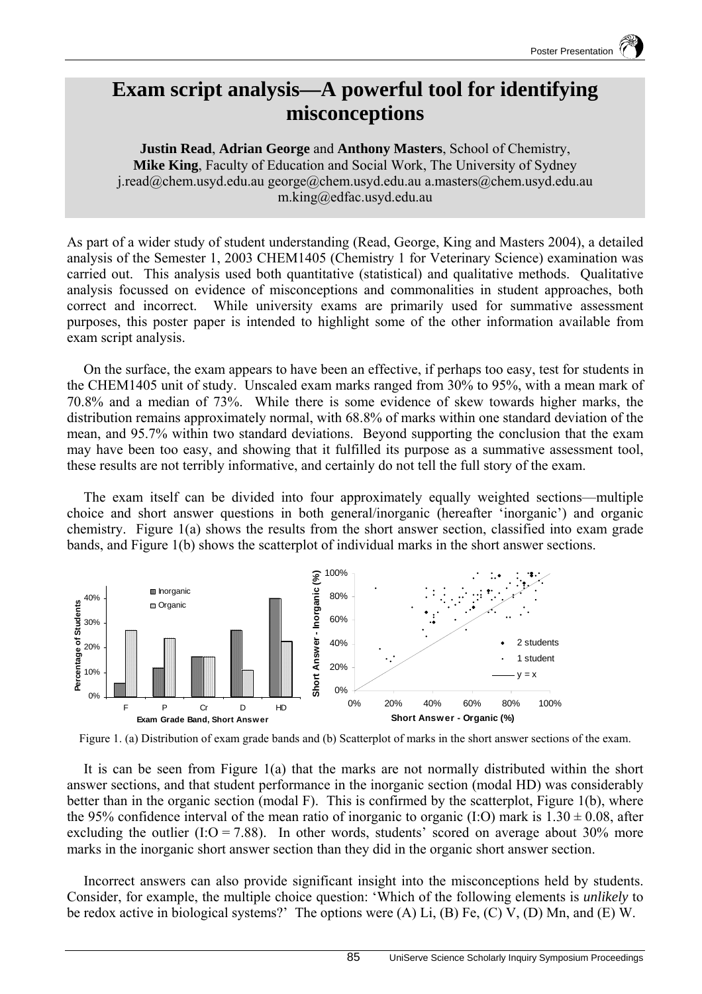## **Exam script analysis—A powerful tool for identifying misconceptions**

**Justin Read**, **Adrian George** and **Anthony Masters**, School of Chemistry, **Mike King**, Faculty of Education and Social Work, The University of Sydney j.read@chem.usyd.edu.au george@chem.usyd.edu.au a.masters@chem.usyd.edu.au m.king@edfac.usyd.edu.au

As part of a wider study of student understanding (Read, George, King and Masters 2004), a detailed analysis of the Semester 1, 2003 CHEM1405 (Chemistry 1 for Veterinary Science) examination was carried out. This analysis used both quantitative (statistical) and qualitative methods. Qualitative analysis focussed on evidence of misconceptions and commonalities in student approaches, both correct and incorrect. While university exams are primarily used for summative assessment purposes, this poster paper is intended to highlight some of the other information available from exam script analysis.

On the surface, the exam appears to have been an effective, if perhaps too easy, test for students in the CHEM1405 unit of study. Unscaled exam marks ranged from 30% to 95%, with a mean mark of 70.8% and a median of 73%. While there is some evidence of skew towards higher marks, the distribution remains approximately normal, with 68.8% of marks within one standard deviation of the mean, and 95.7% within two standard deviations. Beyond supporting the conclusion that the exam may have been too easy, and showing that it fulfilled its purpose as a summative assessment tool, these results are not terribly informative, and certainly do not tell the full story of the exam.

The exam itself can be divided into four approximately equally weighted sections—multiple choice and short answer questions in both general/inorganic (hereafter 'inorganic') and organic chemistry. Figure 1(a) shows the results from the short answer section, classified into exam grade bands, and Figure 1(b) shows the scatterplot of individual marks in the short answer sections.





It is can be seen from Figure 1(a) that the marks are not normally distributed within the short answer sections, and that student performance in the inorganic section (modal HD) was considerably better than in the organic section (modal F). This is confirmed by the scatterplot, Figure 1(b), where the 95% confidence interval of the mean ratio of inorganic to organic (I:O) mark is  $1.30 \pm 0.08$ , after excluding the outlier  $(I:O = 7.88)$ . In other words, students' scored on average about 30% more marks in the inorganic short answer section than they did in the organic short answer section.

Incorrect answers can also provide significant insight into the misconceptions held by students. Consider, for example, the multiple choice question: 'Which of the following elements is *unlikely* to be redox active in biological systems?' The options were  $(A)$  Li,  $(B)$  Fe,  $(C)$  V,  $(D)$  Mn, and  $(E)$  W.